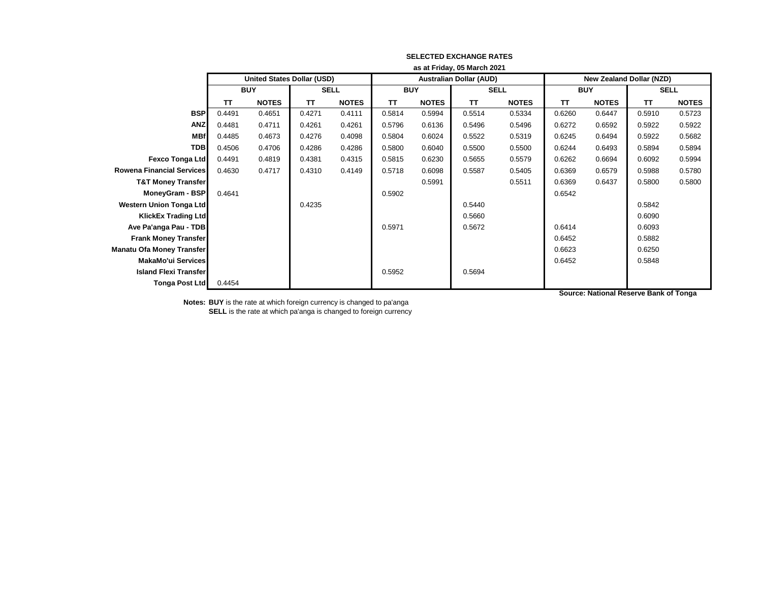|                                  | as at Friday, 05 March 2021 |                                   |             |              |            |              |                                |              |                          |              |             |              |
|----------------------------------|-----------------------------|-----------------------------------|-------------|--------------|------------|--------------|--------------------------------|--------------|--------------------------|--------------|-------------|--------------|
|                                  |                             | <b>United States Dollar (USD)</b> |             |              |            |              | <b>Australian Dollar (AUD)</b> |              | New Zealand Dollar (NZD) |              |             |              |
|                                  | <b>BUY</b>                  |                                   | <b>SELL</b> |              | <b>BUY</b> |              | <b>SELL</b>                    |              | <b>BUY</b>               |              | <b>SELL</b> |              |
|                                  | TΤ                          | <b>NOTES</b>                      | TΤ          | <b>NOTES</b> | <b>TT</b>  | <b>NOTES</b> | TΤ                             | <b>NOTES</b> | TΤ                       | <b>NOTES</b> | TΤ          | <b>NOTES</b> |
| <b>BSP</b>                       | 0.4491                      | 0.4651                            | 0.4271      | 0.4111       | 0.5814     | 0.5994       | 0.5514                         | 0.5334       | 0.6260                   | 0.6447       | 0.5910      | 0.5723       |
| <b>ANZ</b>                       | 0.4481                      | 0.4711                            | 0.4261      | 0.4261       | 0.5796     | 0.6136       | 0.5496                         | 0.5496       | 0.6272                   | 0.6592       | 0.5922      | 0.5922       |
| <b>MBf</b>                       | 0.4485                      | 0.4673                            | 0.4276      | 0.4098       | 0.5804     | 0.6024       | 0.5522                         | 0.5319       | 0.6245                   | 0.6494       | 0.5922      | 0.5682       |
| <b>TDB</b>                       | 0.4506                      | 0.4706                            | 0.4286      | 0.4286       | 0.5800     | 0.6040       | 0.5500                         | 0.5500       | 0.6244                   | 0.6493       | 0.5894      | 0.5894       |
| <b>Fexco Tonga Ltd</b>           | 0.4491                      | 0.4819                            | 0.4381      | 0.4315       | 0.5815     | 0.6230       | 0.5655                         | 0.5579       | 0.6262                   | 0.6694       | 0.6092      | 0.5994       |
| <b>Rowena Financial Services</b> | 0.4630                      | 0.4717                            | 0.4310      | 0.4149       | 0.5718     | 0.6098       | 0.5587                         | 0.5405       | 0.6369                   | 0.6579       | 0.5988      | 0.5780       |
| <b>T&amp;T Money Transfer</b>    |                             |                                   |             |              |            | 0.5991       |                                | 0.5511       | 0.6369                   | 0.6437       | 0.5800      | 0.5800       |
| MoneyGram - BSP                  | 0.4641                      |                                   |             |              | 0.5902     |              |                                |              | 0.6542                   |              |             |              |
| <b>Western Union Tonga Ltd</b>   |                             |                                   | 0.4235      |              |            |              | 0.5440                         |              |                          |              | 0.5842      |              |
| <b>KlickEx Trading Ltd</b>       |                             |                                   |             |              |            |              | 0.5660                         |              |                          |              | 0.6090      |              |
| Ave Pa'anga Pau - TDB            |                             |                                   |             |              | 0.5971     |              | 0.5672                         |              | 0.6414                   |              | 0.6093      |              |
| <b>Frank Money Transfer</b>      |                             |                                   |             |              |            |              |                                |              | 0.6452                   |              | 0.5882      |              |
| Manatu Ofa Money Transfer        |                             |                                   |             |              |            |              |                                |              | 0.6623                   |              | 0.6250      |              |
| <b>MakaMo'ui Services</b>        |                             |                                   |             |              |            |              |                                |              | 0.6452                   |              | 0.5848      |              |
| <b>Island Flexi Transfer</b>     |                             |                                   |             |              | 0.5952     |              | 0.5694                         |              |                          |              |             |              |
| <b>Tonga Post Ltd</b>            | 0.4454                      |                                   |             |              |            |              |                                |              |                          |              |             |              |

**Notes: BUY** is the rate at which foreign currency is changed to pa'anga

**SELL** is the rate at which pa'anga is changed to foreign currency

**Source: National Reserve Bank of Tonga**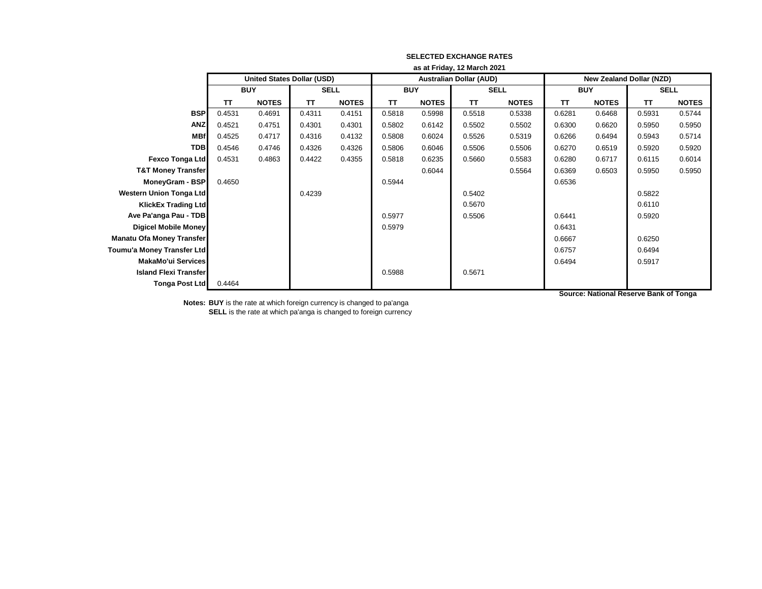|                                  | as at Friday, 12 March 2021 |                                   |             |              |            |              |                                |              |                                 |              |             |              |
|----------------------------------|-----------------------------|-----------------------------------|-------------|--------------|------------|--------------|--------------------------------|--------------|---------------------------------|--------------|-------------|--------------|
|                                  |                             | <b>United States Dollar (USD)</b> |             |              |            |              | <b>Australian Dollar (AUD)</b> |              | <b>New Zealand Dollar (NZD)</b> |              |             |              |
|                                  | <b>BUY</b>                  |                                   | <b>SELL</b> |              | <b>BUY</b> |              | <b>SELL</b>                    |              | <b>BUY</b>                      |              | <b>SELL</b> |              |
|                                  | <b>TT</b>                   | <b>NOTES</b>                      | TΤ          | <b>NOTES</b> | TΤ         | <b>NOTES</b> | <b>TT</b>                      | <b>NOTES</b> | ΤT                              | <b>NOTES</b> | <b>TT</b>   | <b>NOTES</b> |
| <b>BSP</b>                       | 0.4531                      | 0.4691                            | 0.4311      | 0.4151       | 0.5818     | 0.5998       | 0.5518                         | 0.5338       | 0.6281                          | 0.6468       | 0.5931      | 0.5744       |
| <b>ANZ</b>                       | 0.4521                      | 0.4751                            | 0.4301      | 0.4301       | 0.5802     | 0.6142       | 0.5502                         | 0.5502       | 0.6300                          | 0.6620       | 0.5950      | 0.5950       |
| <b>MBf</b>                       | 0.4525                      | 0.4717                            | 0.4316      | 0.4132       | 0.5808     | 0.6024       | 0.5526                         | 0.5319       | 0.6266                          | 0.6494       | 0.5943      | 0.5714       |
| <b>TDB</b>                       | 0.4546                      | 0.4746                            | 0.4326      | 0.4326       | 0.5806     | 0.6046       | 0.5506                         | 0.5506       | 0.6270                          | 0.6519       | 0.5920      | 0.5920       |
| <b>Fexco Tonga Ltd</b>           | 0.4531                      | 0.4863                            | 0.4422      | 0.4355       | 0.5818     | 0.6235       | 0.5660                         | 0.5583       | 0.6280                          | 0.6717       | 0.6115      | 0.6014       |
| <b>T&amp;T Money Transfer</b>    |                             |                                   |             |              |            | 0.6044       |                                | 0.5564       | 0.6369                          | 0.6503       | 0.5950      | 0.5950       |
| MoneyGram - BSP                  | 0.4650                      |                                   |             |              | 0.5944     |              |                                |              | 0.6536                          |              |             |              |
| <b>Western Union Tonga Ltd</b>   |                             |                                   | 0.4239      |              |            |              | 0.5402                         |              |                                 |              | 0.5822      |              |
| <b>KlickEx Trading Ltd</b>       |                             |                                   |             |              |            |              | 0.5670                         |              |                                 |              | 0.6110      |              |
| Ave Pa'anga Pau - TDB            |                             |                                   |             |              | 0.5977     |              | 0.5506                         |              | 0.6441                          |              | 0.5920      |              |
| <b>Digicel Mobile Money</b>      |                             |                                   |             |              | 0.5979     |              |                                |              | 0.6431                          |              |             |              |
| <b>Manatu Ofa Money Transfer</b> |                             |                                   |             |              |            |              |                                |              | 0.6667                          |              | 0.6250      |              |
| Toumu'a Money Transfer Ltd       |                             |                                   |             |              |            |              |                                |              | 0.6757                          |              | 0.6494      |              |
| <b>MakaMo'ui Services</b>        |                             |                                   |             |              |            |              |                                |              | 0.6494                          |              | 0.5917      |              |
| <b>Island Flexi Transfer</b>     |                             |                                   |             |              | 0.5988     |              | 0.5671                         |              |                                 |              |             |              |
| <b>Tonga Post Ltd</b>            | 0.4464                      |                                   |             |              |            |              |                                |              |                                 |              |             |              |
|                                  |                             |                                   |             |              |            |              |                                |              |                                 |              |             |              |

**Notes: BUY** is the rate at which foreign currency is changed to pa'anga

**SELL** is the rate at which pa'anga is changed to foreign currency

**Source: National Reserve Bank of Tonga**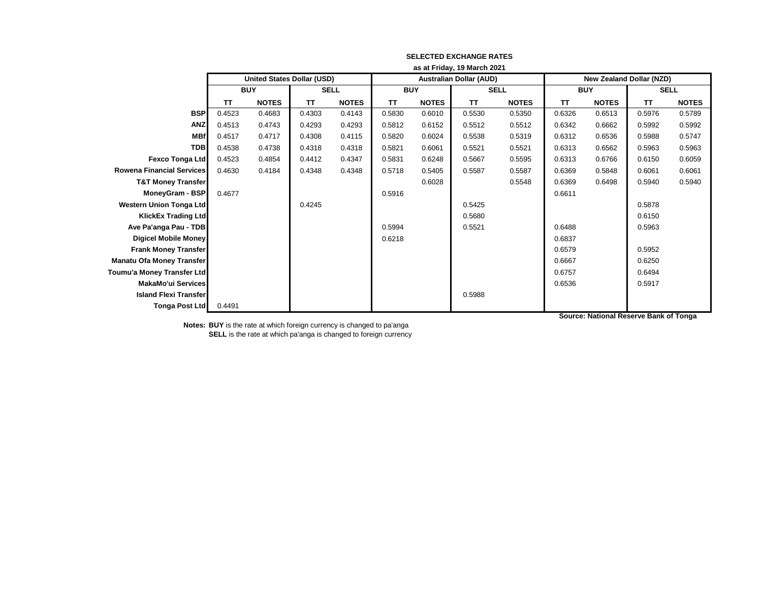|                                  | as at Friday, 19 March 2021 |                                   |             |              |            |              |                                |              |                          |              |             |              |
|----------------------------------|-----------------------------|-----------------------------------|-------------|--------------|------------|--------------|--------------------------------|--------------|--------------------------|--------------|-------------|--------------|
|                                  |                             | <b>United States Dollar (USD)</b> |             |              |            |              | <b>Australian Dollar (AUD)</b> |              | New Zealand Dollar (NZD) |              |             |              |
|                                  | <b>BUY</b>                  |                                   | <b>SELL</b> |              | <b>BUY</b> |              | <b>SELL</b>                    |              | <b>BUY</b>               |              | <b>SELL</b> |              |
|                                  | <b>TT</b>                   | <b>NOTES</b>                      | TΤ          | <b>NOTES</b> | TΤ         | <b>NOTES</b> | TΤ                             | <b>NOTES</b> | <b>TT</b>                | <b>NOTES</b> | <b>TT</b>   | <b>NOTES</b> |
| <b>BSP</b>                       | 0.4523                      | 0.4683                            | 0.4303      | 0.4143       | 0.5830     | 0.6010       | 0.5530                         | 0.5350       | 0.6326                   | 0.6513       | 0.5976      | 0.5789       |
| <b>ANZ</b>                       | 0.4513                      | 0.4743                            | 0.4293      | 0.4293       | 0.5812     | 0.6152       | 0.5512                         | 0.5512       | 0.6342                   | 0.6662       | 0.5992      | 0.5992       |
| <b>MBf</b>                       | 0.4517                      | 0.4717                            | 0.4308      | 0.4115       | 0.5820     | 0.6024       | 0.5538                         | 0.5319       | 0.6312                   | 0.6536       | 0.5988      | 0.5747       |
| <b>TDB</b>                       | 0.4538                      | 0.4738                            | 0.4318      | 0.4318       | 0.5821     | 0.6061       | 0.5521                         | 0.5521       | 0.6313                   | 0.6562       | 0.5963      | 0.5963       |
| <b>Fexco Tonga Ltd</b>           | 0.4523                      | 0.4854                            | 0.4412      | 0.4347       | 0.5831     | 0.6248       | 0.5667                         | 0.5595       | 0.6313                   | 0.6766       | 0.6150      | 0.6059       |
| <b>Rowena Financial Services</b> | 0.4630                      | 0.4184                            | 0.4348      | 0.4348       | 0.5718     | 0.5405       | 0.5587                         | 0.5587       | 0.6369                   | 0.5848       | 0.6061      | 0.6061       |
| <b>T&amp;T Money Transfer</b>    |                             |                                   |             |              |            | 0.6028       |                                | 0.5548       | 0.6369                   | 0.6498       | 0.5940      | 0.5940       |
| MoneyGram - BSP                  | 0.4677                      |                                   |             |              | 0.5916     |              |                                |              | 0.6611                   |              |             |              |
| <b>Western Union Tonga Ltd</b>   |                             |                                   | 0.4245      |              |            |              | 0.5425                         |              |                          |              | 0.5878      |              |
| <b>KlickEx Trading Ltd</b>       |                             |                                   |             |              |            |              | 0.5680                         |              |                          |              | 0.6150      |              |
| Ave Pa'anga Pau - TDB            |                             |                                   |             |              | 0.5994     |              | 0.5521                         |              | 0.6488                   |              | 0.5963      |              |
| <b>Digicel Mobile Money</b>      |                             |                                   |             |              | 0.6218     |              |                                |              | 0.6837                   |              |             |              |
| <b>Frank Money Transfer</b>      |                             |                                   |             |              |            |              |                                |              | 0.6579                   |              | 0.5952      |              |
| Manatu Ofa Money Transfer        |                             |                                   |             |              |            |              |                                |              | 0.6667                   |              | 0.6250      |              |
| Toumu'a Money Transfer Ltd       |                             |                                   |             |              |            |              |                                |              | 0.6757                   |              | 0.6494      |              |
| <b>MakaMo'ui Services</b>        |                             |                                   |             |              |            |              |                                |              | 0.6536                   |              | 0.5917      |              |
| <b>Island Flexi Transfer</b>     |                             |                                   |             |              |            |              | 0.5988                         |              |                          |              |             |              |
| <b>Tonga Post Ltd</b>            | 0.4491                      |                                   |             |              |            |              |                                |              |                          |              |             |              |

**Source: National Reserve Bank of Tonga**

**Notes: BUY** is the rate at which foreign currency is changed to pa'anga **SELL** is the rate at which pa'anga is changed to foreign currency